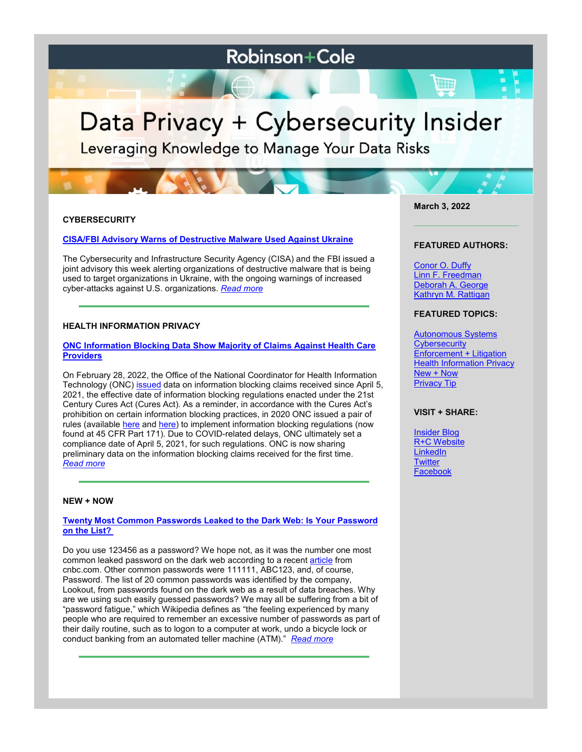# **Robinson+Cole**

# Data Privacy + Cybersecurity Insider

Leveraging Knowledge to Manage Your Data Risks

# **CYBERSECURITY**

### **[CISA/FBI Advisory Warns of Destructive Malware Used Against Ukraine](https://www.dataprivacyandsecurityinsider.com/2022/03/cisa-fbi-advisory-warns-of-destructive-malware-used-against-ukraine/)**

The Cybersecurity and Infrastructure Security Agency (CISA) and the FBI issued a joint advisory this week alerting organizations of destructive malware that is being used to target organizations in Ukraine, with the ongoing warnings of increased cyber-attacks against U.S. organizations. *[Read more](https://www.dataprivacyandsecurityinsider.com/2022/03/cisa-fbi-advisory-warns-of-destructive-malware-used-against-ukraine/)*

#### **HEALTH INFORMATION PRIVACY**

#### **[ONC Information Blocking Data Show Majority of Claims Against Health Care](https://www.dataprivacyandsecurityinsider.com/2022/03/onc-information-blocking-data-show-majority-of-claims-against-health-care-providers/)  [Providers](https://www.dataprivacyandsecurityinsider.com/2022/03/onc-information-blocking-data-show-majority-of-claims-against-health-care-providers/)**

On February 28, 2022, the Office of the National Coordinator for Health Information Technology (ONC) [issued](https://www.healthit.gov/buzz-blog/21st-century-cures-act/information-blocking-claims-by-the-numbers) data on information blocking claims received since April 5, 2021, the effective date of information blocking regulations enacted under the 21st Century Cures Act (Cures Act). As a reminder, in accordance with the Cures Act's prohibition on certain information blocking practices, in 2020 ONC issued a pair of rules (available [here](https://www.govinfo.gov/content/pkg/FR-2020-05-01/pdf/2020-07419.pdf) and [here\)](https://www.govinfo.gov/content/pkg/FR-2020-11-04/pdf/2020-24376.pdf) to implement information blocking regulations (now found at 45 CFR Part 171). Due to COVID-related delays, ONC ultimately set a compliance date of April 5, 2021, for such regulations. ONC is now sharing preliminary data on the information blocking claims received for the first time. *[Read more](https://www.dataprivacyandsecurityinsider.com/2022/03/onc-information-blocking-data-show-majority-of-claims-against-health-care-providers/)*

#### **NEW + NOW**

#### **[Twenty Most Common Passwords Leaked to the Dark Web: Is Your Password](https://www.dataprivacyandsecurityinsider.com/2022/03/twenty-most-common-passwords-leaked-to-the-dark-web-is-your-password-on-the-list/)  [on the List?](https://www.dataprivacyandsecurityinsider.com/2022/03/twenty-most-common-passwords-leaked-to-the-dark-web-is-your-password-on-the-list/)**

Do you use 123456 as a password? We hope not, as it was the number one most common leaked password on the dark web according to a recent [article](https://www.cnbc.com/2022/02/27/most-common-passwords-hackers-leak-on-the-dark-web-lookout-report.html) from cnbc.com. Other common passwords were 111111, ABC123, and, of course, Password. The list of 20 common passwords was identified by the company, Lookout, from passwords found on the dark web as a result of data breaches. Why are we using such easily guessed passwords? We may all be suffering from a bit of "password fatigue," which Wikipedia defines as "the feeling experienced by many people who are required to remember an excessive number of passwords as part of their daily routine, such as to logon to a computer at work, undo a bicycle lock or conduct banking from an automated teller machine (ATM)." *[Read more](https://www.dataprivacyandsecurityinsider.com/2022/03/twenty-most-common-passwords-leaked-to-the-dark-web-is-your-password-on-the-list/)*

**March 3, 2022**

#### **FEATURED AUTHORS:**

[Conor O. Duffy](http://www.rc.com/people/ConorODuffy.cfm) [Linn F. Freedman](https://www.rc.com/people/LinnFFreedman.cfm) [Deborah A. George](http://www.rc.com/people/DeborahAGeorge.cfm) [Kathryn M. Rattigan](https://www.rc.com/people/kathrynmrattigan.cfm)

# **FEATURED TOPICS:**

[Autonomous Systems](https://www.dataprivacyandsecurityinsider.com/category/autonomous-systems/) **[Cybersecurity](https://www.dataprivacyandsecurityinsider.com/category/cybersecurity/)** [Enforcement + Litigation](https://www.dataprivacyandsecurityinsider.com/category/enforcement-litigation/) **[Health Information Privacy](https://www.dataprivacyandsecurityinsider.com/category/health-information-privacy/)** [New + Now](https://www.dataprivacyandsecurityinsider.com/category/new-now/) [Privacy Tip](https://www.dataprivacyandsecurityinsider.com/category/privacy-tips/)

## **VISIT + SHARE:**

[Insider Blog](https://www.dataprivacyandsecurityinsider.com/) [R+C Website](http://www.rc.com/) **[LinkedIn](https://www.linkedin.com/company/robinson-&-cole-llp) [Twitter](https://twitter.com/RobinsonCole)** [Facebook](https://www.facebook.com/RobinsonCole-144331422248207/)